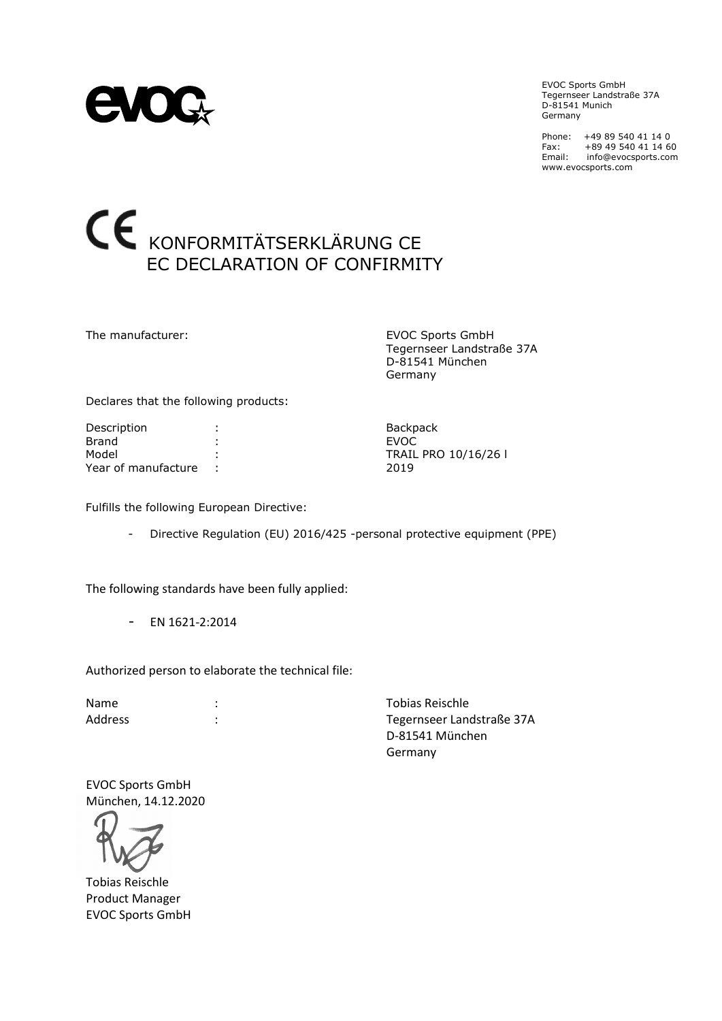

EVOC Sports GmbH Tegernseer Landstraße 37A D-81541 Munich Germany

Phone: +49 89 540 41 14 0 Fax: +89 49 540 41 14 60 Email: info@evocsports.com www.evocsports.com

### KONFORMITÄTSERKLÄRUNG CE EC DECLARATION OF CONFIRMITY

The manufacturer: EVOC Sports GmbH Tegernseer Landstraße 37A D-81541 München Germany

Declares that the following products:

Description : The contract of the Backpack Brand : EVOC Model : TRAIL PRO 10/16/26 l Year of manufacture : 2019

Fulfills the following European Directive:

- Directive Regulation (EU) 2016/425 -personal protective equipment (PPE)

The following standards have been fully applied:

- EN 1621-2:2014

Authorized person to elaborate the technical file:

Name : Tobias Reischle Address : Tegernseer Landstraße 37A D-81541 München Germany

EVOC Sports GmbH München, 14.12.2020

Tobias Reischle Product Manager EVOC Sports GmbH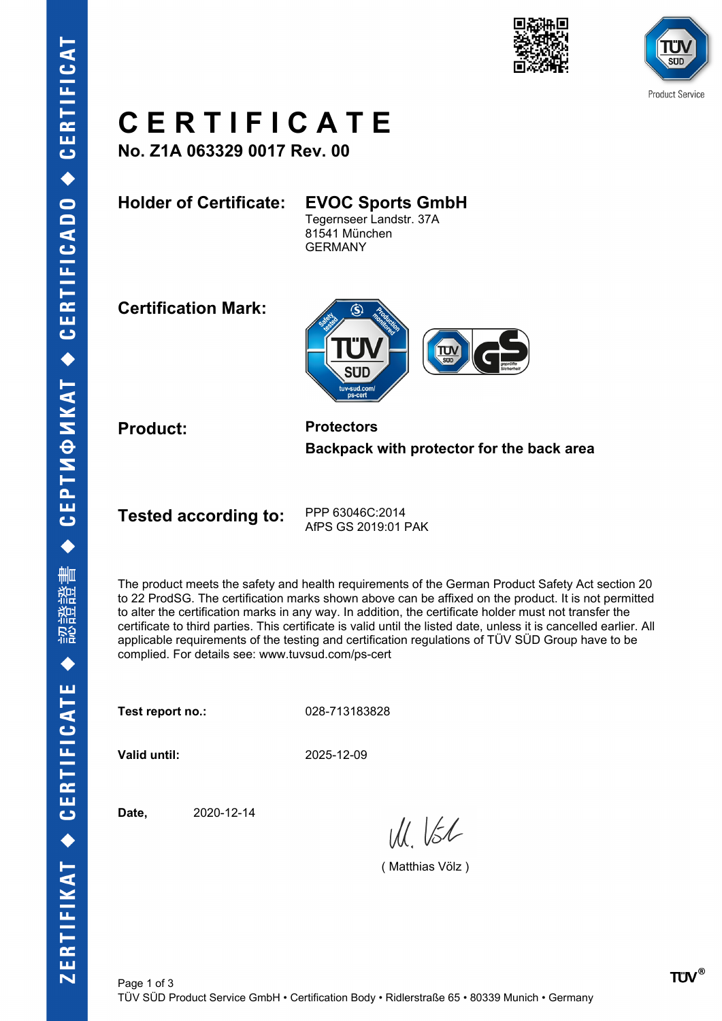



## **C E R T I F I C A T E**

**No. Z1A 063329 0017 Rev. 00**

**Holder of Certificate: EVOC Sports GmbH**

Tegernseer Landstr. 37A 81541 München GERMANY

**Certification Mark:**



**Product: Protectors Backpack with protector for the back area**

**Tested according to:** PPP 63046C:2014

AfPS GS 2019:01 PAK

The product meets the safety and health requirements of the German Product Safety Act section 20 to 22 ProdSG. The certification marks shown above can be affixed on the product. It is not permitted to alter the certification marks in any way. In addition, the certificate holder must not transfer the certificate to third parties. This certificate is valid until the listed date, unless it is cancelled earlier. All applicable requirements of the testing and certification regulations of TÜV SÜD Group have to be complied. For details see: www.tuvsud.com/ps-cert

**Test report no.:** 028-713183828

**Valid until:** 2025-12-09

**Date,** 2020-12-14

 $W_{11}$   $K_{2}$ 

( Matthias Völz )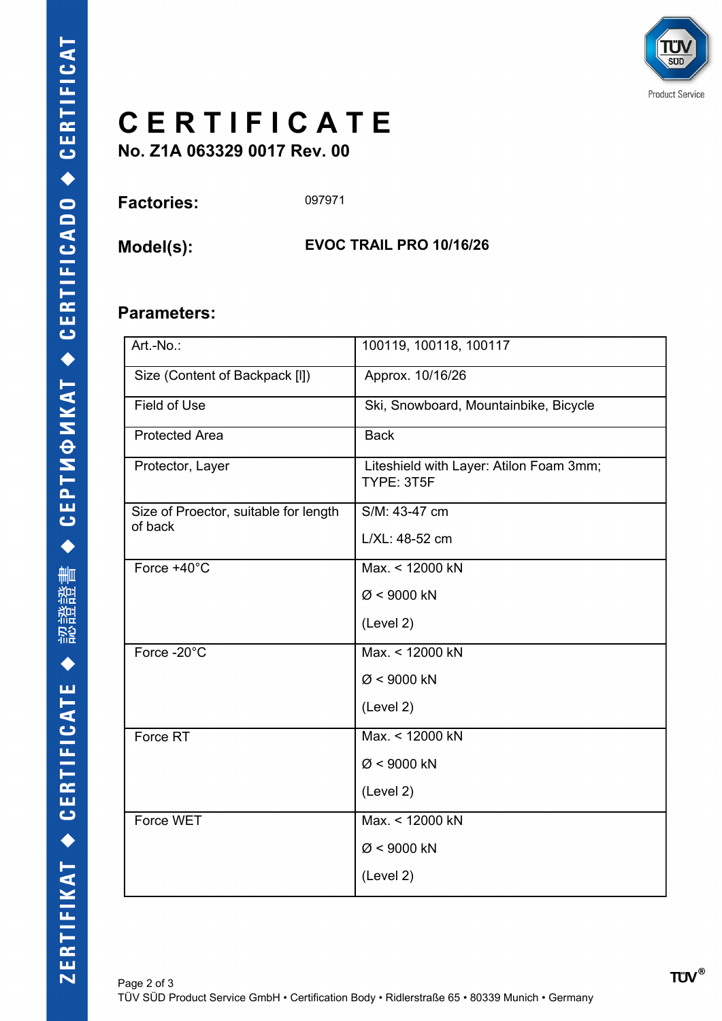

# **C E R T I F I C A T E**

**No. Z1A 063329 0017 Rev. 00**

| <b>Factories:</b> | 097971 |
|-------------------|--------|
|-------------------|--------|

**Model(s): EVOC TRAIL PRO 10/16/26**

#### **Parameters:**

| Art.-No.:                                        | 100119, 100118, 100117                                |
|--------------------------------------------------|-------------------------------------------------------|
| Size (Content of Backpack [I])                   | Approx. 10/16/26                                      |
| <b>Field of Use</b>                              | Ski, Snowboard, Mountainbike, Bicycle                 |
| <b>Protected Area</b>                            | <b>Back</b>                                           |
| Protector, Layer                                 | Liteshield with Layer: Atilon Foam 3mm;<br>TYPE: 3T5F |
| Size of Proector, suitable for length<br>of back | S/M: 43-47 cm                                         |
|                                                  | L/XL: 48-52 cm                                        |
| Force $+40^{\circ}$ C                            | Max. < 12000 kN                                       |
|                                                  | $Ø < 9000$ kN                                         |
|                                                  | (Level 2)                                             |
| Force -20°C                                      | Max. < 12000 kN                                       |
|                                                  | $Ø < 9000$ kN                                         |
|                                                  | (Level 2)                                             |
| Force RT                                         | Max. < 12000 kN                                       |
|                                                  | $Ø < 9000$ kN                                         |
|                                                  | (Level 2)                                             |
| Force WET                                        | Max. < 12000 kN                                       |
|                                                  | $Ø < 9000$ kN                                         |
|                                                  | (Level 2)                                             |